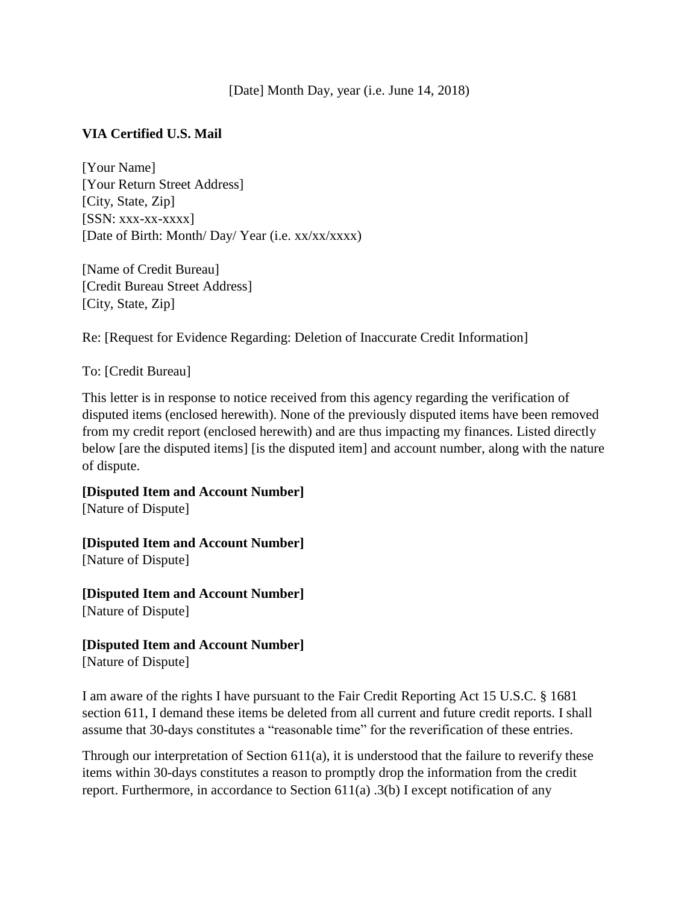## [Date] Month Day, year (i.e. June 14, 2018)

## **VIA Certified U.S. Mail**

[Your Name] [Your Return Street Address] [City, State, Zip]  $[SSN: XXX-XX-XXXX]$ [Date of Birth: Month/ Day/ Year (i.e. xx/xx/xxxx)

[Name of Credit Bureau] [Credit Bureau Street Address] [City, State, Zip]

Re: [Request for Evidence Regarding: Deletion of Inaccurate Credit Information]

To: [Credit Bureau]

This letter is in response to notice received from this agency regarding the verification of disputed items (enclosed herewith). None of the previously disputed items have been removed from my credit report (enclosed herewith) and are thus impacting my finances. Listed directly below [are the disputed items] [is the disputed item] and account number, along with the nature of dispute.

**[Disputed Item and Account Number]** [Nature of Dispute]

**[Disputed Item and Account Number]** [Nature of Dispute]

**[Disputed Item and Account Number]** [Nature of Dispute]

**[Disputed Item and Account Number]** [Nature of Dispute]

I am aware of the rights I have pursuant to the Fair Credit Reporting Act 15 U.S.C. § 1681 section 611, I demand these items be deleted from all current and future credit reports. I shall assume that 30-days constitutes a "reasonable time" for the reverification of these entries.

Through our interpretation of Section 611(a), it is understood that the failure to reverify these items within 30-days constitutes a reason to promptly drop the information from the credit report. Furthermore, in accordance to Section 611(a) .3(b) I except notification of any